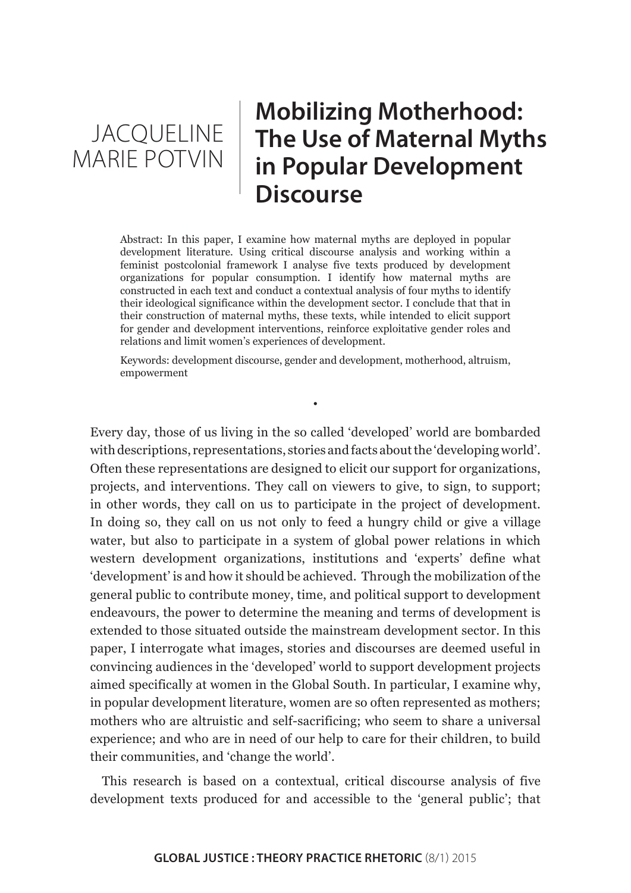JACQUELINE MARIE POTVIN

# **Mobilizing Motherhood: The Use of Maternal Myths in Popular Development Discourse**

Abstract: In this paper, I examine how maternal myths are deployed in popular development literature. Using critical discourse analysis and working within a feminist postcolonial framework I analyse five texts produced by development organizations for popular consumption. I identify how maternal myths are constructed in each text and conduct a contextual analysis of four myths to identify their ideological significance within the development sector. I conclude that that in their construction of maternal myths, these texts, while intended to elicit support for gender and development interventions, reinforce exploitative gender roles and relations and limit women's experiences of development.

Keywords: development discourse, gender and development, motherhood, altruism, empowerment

•

Every day, those of us living in the so called 'developed' world are bombarded with descriptions, representations, stories and facts about the 'developing world'. Often these representations are designed to elicit our support for organizations, projects, and interventions. They call on viewers to give, to sign, to support; in other words, they call on us to participate in the project of development. In doing so, they call on us not only to feed a hungry child or give a village water, but also to participate in a system of global power relations in which western development organizations, institutions and 'experts' define what 'development' is and how it should be achieved. Through the mobilization of the general public to contribute money, time, and political support to development endeavours, the power to determine the meaning and terms of development is extended to those situated outside the mainstream development sector. In this paper, I interrogate what images, stories and discourses are deemed useful in convincing audiences in the 'developed' world to support development projects aimed specifically at women in the Global South. In particular, I examine why, in popular development literature, women are so often represented as mothers; mothers who are altruistic and self-sacrificing; who seem to share a universal experience; and who are in need of our help to care for their children, to build their communities, and 'change the world'.

This research is based on a contextual, critical discourse analysis of five development texts produced for and accessible to the 'general public'; that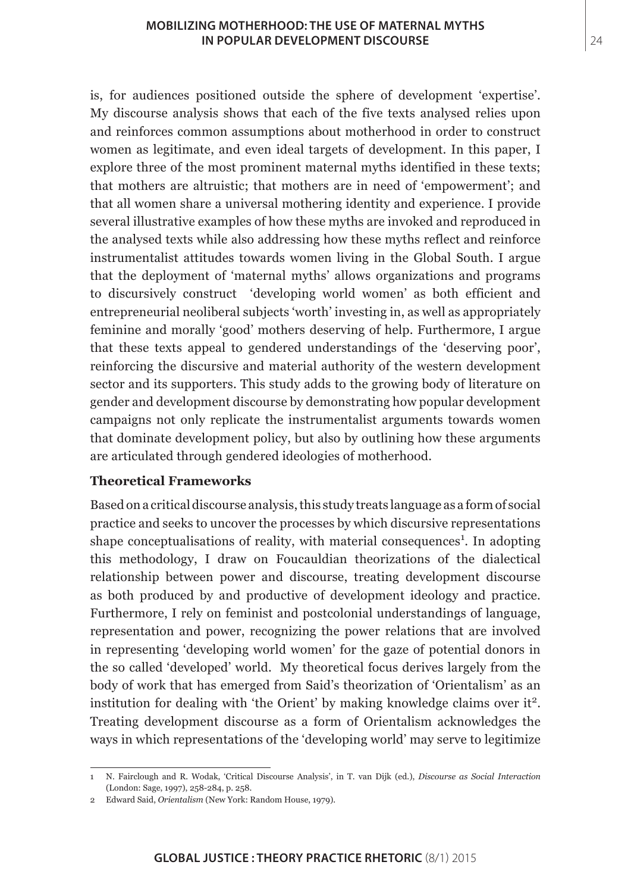is, for audiences positioned outside the sphere of development 'expertise'. My discourse analysis shows that each of the five texts analysed relies upon and reinforces common assumptions about motherhood in order to construct women as legitimate, and even ideal targets of development. In this paper, I explore three of the most prominent maternal myths identified in these texts; that mothers are altruistic; that mothers are in need of 'empowerment'; and that all women share a universal mothering identity and experience. I provide several illustrative examples of how these myths are invoked and reproduced in the analysed texts while also addressing how these myths reflect and reinforce instrumentalist attitudes towards women living in the Global South. I argue that the deployment of 'maternal myths' allows organizations and programs to discursively construct 'developing world women' as both efficient and entrepreneurial neoliberal subjects 'worth' investing in, as well as appropriately feminine and morally 'good' mothers deserving of help. Furthermore, I argue that these texts appeal to gendered understandings of the 'deserving poor', reinforcing the discursive and material authority of the western development sector and its supporters. This study adds to the growing body of literature on gender and development discourse by demonstrating how popular development campaigns not only replicate the instrumentalist arguments towards women that dominate development policy, but also by outlining how these arguments are articulated through gendered ideologies of motherhood.

# **Theoretical Frameworks**

Based on a critical discourse analysis, this study treats language as a form of social practice and seeks to uncover the processes by which discursive representations shape conceptualisations of reality, with material consequences<sup>1</sup>. In adopting this methodology, I draw on Foucauldian theorizations of the dialectical relationship between power and discourse, treating development discourse as both produced by and productive of development ideology and practice. Furthermore, I rely on feminist and postcolonial understandings of language, representation and power, recognizing the power relations that are involved in representing 'developing world women' for the gaze of potential donors in the so called 'developed' world. My theoretical focus derives largely from the body of work that has emerged from Said's theorization of 'Orientalism' as an institution for dealing with 'the Orient' by making knowledge claims over it<sup>2</sup>. Treating development discourse as a form of Orientalism acknowledges the ways in which representations of the 'developing world' may serve to legitimize

<sup>1</sup> N. Fairclough and R. Wodak, 'Critical Discourse Analysis', in T. van Dijk (ed.), *Discourse as Social Interaction* (London: Sage, 1997), 258-284, p. 258.

<sup>2</sup> Edward Said, *Orientalism* (New York: Random House, 1979).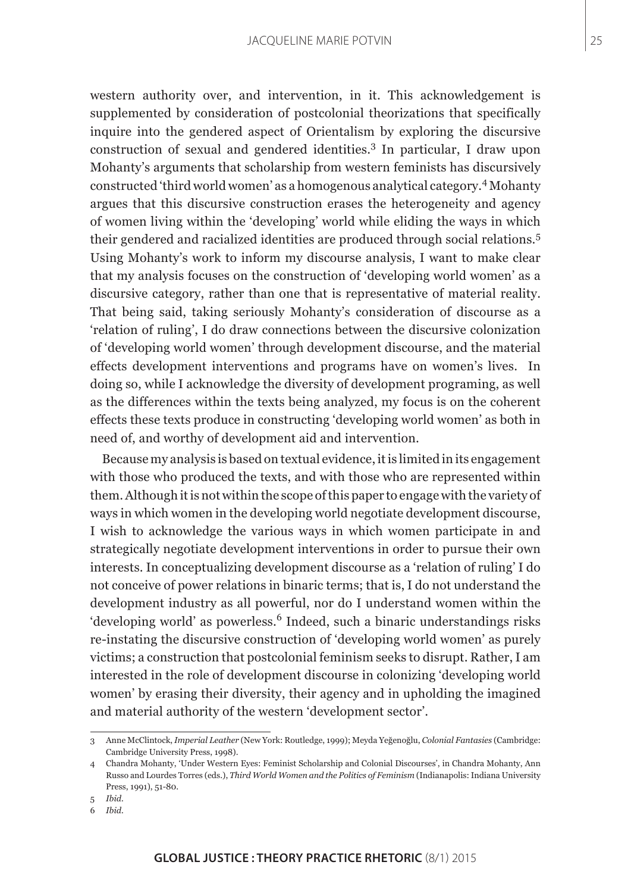western authority over, and intervention, in it. This acknowledgement is supplemented by consideration of postcolonial theorizations that specifically inquire into the gendered aspect of Orientalism by exploring the discursive construction of sexual and gendered identities.<sup>3</sup> In particular, I draw upon Mohanty's arguments that scholarship from western feminists has discursively constructed 'third world women' as a homogenous analytical category.4 Mohanty argues that this discursive construction erases the heterogeneity and agency of women living within the 'developing' world while eliding the ways in which their gendered and racialized identities are produced through social relations.<sup>5</sup> Using Mohanty's work to inform my discourse analysis, I want to make clear that my analysis focuses on the construction of 'developing world women' as a discursive category, rather than one that is representative of material reality. That being said, taking seriously Mohanty's consideration of discourse as a 'relation of ruling', I do draw connections between the discursive colonization of 'developing world women' through development discourse, and the material effects development interventions and programs have on women's lives. In doing so, while I acknowledge the diversity of development programing, as well as the differences within the texts being analyzed, my focus is on the coherent effects these texts produce in constructing 'developing world women' as both in need of, and worthy of development aid and intervention.

Because my analysis is based on textual evidence, it is limited in its engagement with those who produced the texts, and with those who are represented within them. Although it is not within the scope of this paper to engage with the variety of ways in which women in the developing world negotiate development discourse, I wish to acknowledge the various ways in which women participate in and strategically negotiate development interventions in order to pursue their own interests. In conceptualizing development discourse as a 'relation of ruling' I do not conceive of power relations in binaric terms; that is, I do not understand the development industry as all powerful, nor do I understand women within the 'developing world' as powerless.<sup>6</sup> Indeed, such a binaric understandings risks re-instating the discursive construction of 'developing world women' as purely victims; a construction that postcolonial feminism seeks to disrupt. Rather, I am interested in the role of development discourse in colonizing 'developing world women' by erasing their diversity, their agency and in upholding the imagined and material authority of the western 'development sector'.

<sup>3</sup> Anne McClintock, *Imperial Leather* (New York: Routledge, 1999); Meyda Yeğenoğlu, *Colonial Fantasies* (Cambridge: Cambridge University Press, 1998).

<sup>4</sup> Chandra Mohanty, 'Under Western Eyes: Feminist Scholarship and Colonial Discourses', in Chandra Mohanty, Ann Russo and Lourdes Torres (eds.), *Third World Women and the Politics of Feminism* (Indianapolis: Indiana University Press, 1991), 51-80.

<sup>5</sup> *Ibid.*

<sup>6</sup> *Ibid.*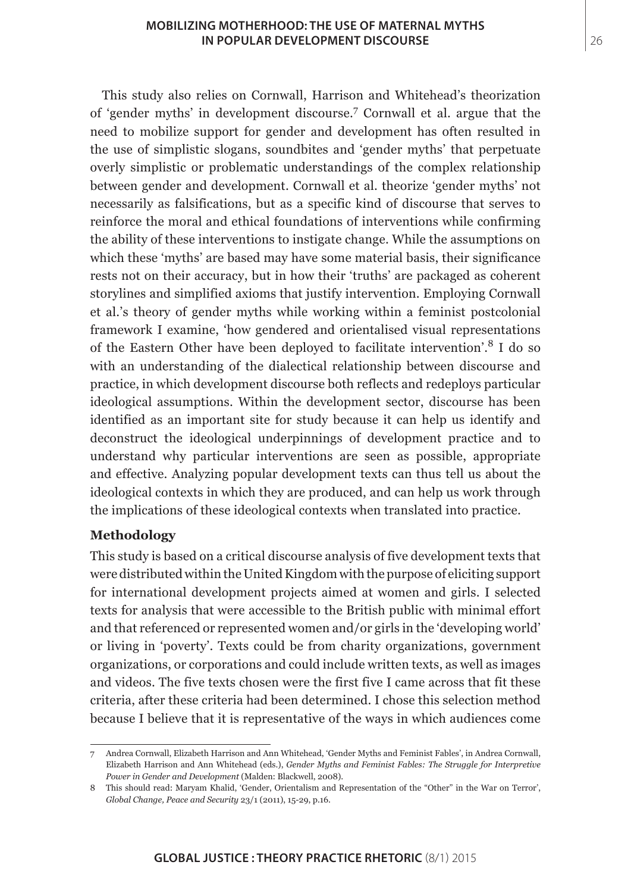#### **MOBILIZING MOTHERHOOD: THE USE OF MATERNAL MYTHS IN POPULAR DEVELOPMENT DISCOURSE**

This study also relies on Cornwall, Harrison and Whitehead's theorization of 'gender myths' in development discourse.<sup>7</sup> Cornwall et al. argue that the need to mobilize support for gender and development has often resulted in the use of simplistic slogans, soundbites and 'gender myths' that perpetuate overly simplistic or problematic understandings of the complex relationship between gender and development. Cornwall et al. theorize 'gender myths' not necessarily as falsifications, but as a specific kind of discourse that serves to reinforce the moral and ethical foundations of interventions while confirming the ability of these interventions to instigate change. While the assumptions on which these 'myths' are based may have some material basis, their significance rests not on their accuracy, but in how their 'truths' are packaged as coherent storylines and simplified axioms that justify intervention. Employing Cornwall et al.'s theory of gender myths while working within a feminist postcolonial framework I examine, 'how gendered and orientalised visual representations of the Eastern Other have been deployed to facilitate intervention'.8 I do so with an understanding of the dialectical relationship between discourse and practice, in which development discourse both reflects and redeploys particular ideological assumptions. Within the development sector, discourse has been identified as an important site for study because it can help us identify and deconstruct the ideological underpinnings of development practice and to understand why particular interventions are seen as possible, appropriate and effective. Analyzing popular development texts can thus tell us about the ideological contexts in which they are produced, and can help us work through the implications of these ideological contexts when translated into practice.

# **Methodology**

This study is based on a critical discourse analysis of five development texts that were distributed within the United Kingdom with the purpose of eliciting support for international development projects aimed at women and girls. I selected texts for analysis that were accessible to the British public with minimal effort and that referenced or represented women and/or girls in the 'developing world' or living in 'poverty'. Texts could be from charity organizations, government organizations, or corporations and could include written texts, as well as images and videos. The five texts chosen were the first five I came across that fit these criteria, after these criteria had been determined. I chose this selection method because I believe that it is representative of the ways in which audiences come

26

<sup>7</sup> Andrea Cornwall, Elizabeth Harrison and Ann Whitehead, 'Gender Myths and Feminist Fables', in Andrea Cornwall, Elizabeth Harrison and Ann Whitehead (eds.), *Gender Myths and Feminist Fables: The Struggle for Interpretive Power in Gender and Development* (Malden: Blackwell, 2008).

<sup>8</sup> This should read: Maryam Khalid, 'Gender, Orientalism and Representation of the "Other" in the War on Terror', *Global Change, Peace and Security* 23/1 (2011), 15-29, p.16.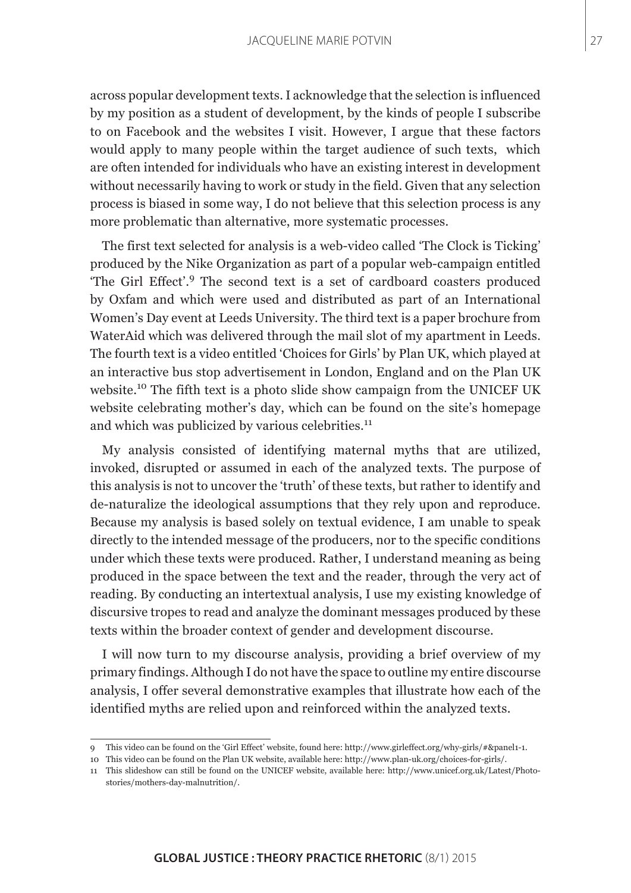across popular development texts. I acknowledge that the selection is influenced by my position as a student of development, by the kinds of people I subscribe to on Facebook and the websites I visit. However, I argue that these factors would apply to many people within the target audience of such texts, which are often intended for individuals who have an existing interest in development without necessarily having to work or study in the field. Given that any selection process is biased in some way, I do not believe that this selection process is any more problematic than alternative, more systematic processes.

The first text selected for analysis is a web-video called 'The Clock is Ticking' produced by the Nike Organization as part of a popular web-campaign entitled 'The Girl Effect'.9 The second text is a set of cardboard coasters produced by Oxfam and which were used and distributed as part of an International Women's Day event at Leeds University. The third text is a paper brochure from WaterAid which was delivered through the mail slot of my apartment in Leeds. The fourth text is a video entitled 'Choices for Girls' by Plan UK, which played at an interactive bus stop advertisement in London, England and on the Plan UK website.10 The fifth text is a photo slide show campaign from the UNICEF UK website celebrating mother's day, which can be found on the site's homepage and which was publicized by various celebrities.<sup>11</sup>

My analysis consisted of identifying maternal myths that are utilized, invoked, disrupted or assumed in each of the analyzed texts. The purpose of this analysis is not to uncover the 'truth' of these texts, but rather to identify and de-naturalize the ideological assumptions that they rely upon and reproduce. Because my analysis is based solely on textual evidence, I am unable to speak directly to the intended message of the producers, nor to the specific conditions under which these texts were produced. Rather, I understand meaning as being produced in the space between the text and the reader, through the very act of reading. By conducting an intertextual analysis, I use my existing knowledge of discursive tropes to read and analyze the dominant messages produced by these texts within the broader context of gender and development discourse.

I will now turn to my discourse analysis, providing a brief overview of my primary findings. Although I do not have the space to outline my entire discourse analysis, I offer several demonstrative examples that illustrate how each of the identified myths are relied upon and reinforced within the analyzed texts.

<sup>9</sup> This video can be found on the 'Girl Effect' website, found here: http://www.girleffect.org/why-girls/#&panel1-1.

<sup>10</sup> This video can be found on the Plan UK website, available here: http://www.plan-uk.org/choices-for-girls/.

<sup>11</sup> This slideshow can still be found on the UNICEF website, available here: http://www.unicef.org.uk/Latest/Photostories/mothers-day-malnutrition/.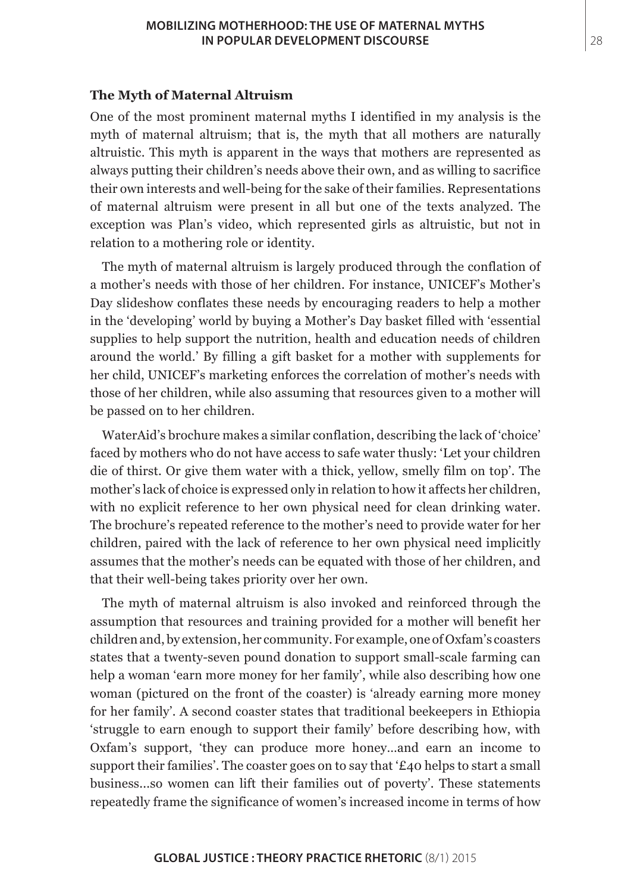#### **MOBILIZING MOTHERHOOD: THE USE OF MATERNAL MYTHS IN POPULAR DEVELOPMENT DISCOURSE**

#### **The Myth of Maternal Altruism**

One of the most prominent maternal myths I identified in my analysis is the myth of maternal altruism; that is, the myth that all mothers are naturally altruistic. This myth is apparent in the ways that mothers are represented as always putting their children's needs above their own, and as willing to sacrifice their own interests and well-being for the sake of their families. Representations of maternal altruism were present in all but one of the texts analyzed. The exception was Plan's video, which represented girls as altruistic, but not in relation to a mothering role or identity.

The myth of maternal altruism is largely produced through the conflation of a mother's needs with those of her children. For instance, UNICEF's Mother's Day slideshow conflates these needs by encouraging readers to help a mother in the 'developing' world by buying a Mother's Day basket filled with 'essential supplies to help support the nutrition, health and education needs of children around the world.' By filling a gift basket for a mother with supplements for her child, UNICEF's marketing enforces the correlation of mother's needs with those of her children, while also assuming that resources given to a mother will be passed on to her children.

WaterAid's brochure makes a similar conflation, describing the lack of 'choice' faced by mothers who do not have access to safe water thusly: 'Let your children die of thirst. Or give them water with a thick, yellow, smelly film on top'. The mother's lack of choice is expressed only in relation to how it affects her children, with no explicit reference to her own physical need for clean drinking water. The brochure's repeated reference to the mother's need to provide water for her children, paired with the lack of reference to her own physical need implicitly assumes that the mother's needs can be equated with those of her children, and that their well-being takes priority over her own.

The myth of maternal altruism is also invoked and reinforced through the assumption that resources and training provided for a mother will benefit her children and, by extension, her community. For example, one of Oxfam's coasters states that a twenty-seven pound donation to support small-scale farming can help a woman 'earn more money for her family', while also describing how one woman (pictured on the front of the coaster) is 'already earning more money for her family'. A second coaster states that traditional beekeepers in Ethiopia 'struggle to earn enough to support their family' before describing how, with Oxfam's support, 'they can produce more honey…and earn an income to support their families'. The coaster goes on to say that '£40 helps to start a small business...so women can lift their families out of poverty'. These statements repeatedly frame the significance of women's increased income in terms of how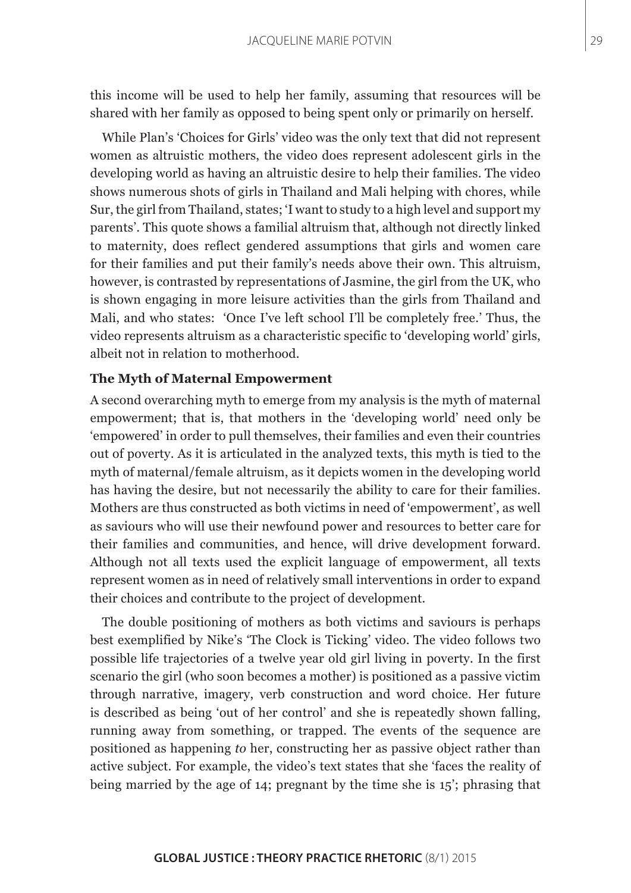this income will be used to help her family, assuming that resources will be shared with her family as opposed to being spent only or primarily on herself.

While Plan's 'Choices for Girls' video was the only text that did not represent women as altruistic mothers, the video does represent adolescent girls in the developing world as having an altruistic desire to help their families. The video shows numerous shots of girls in Thailand and Mali helping with chores, while Sur, the girl from Thailand, states; 'I want to study to a high level and support my parents'. This quote shows a familial altruism that, although not directly linked to maternity, does reflect gendered assumptions that girls and women care for their families and put their family's needs above their own. This altruism, however, is contrasted by representations of Jasmine, the girl from the UK, who is shown engaging in more leisure activities than the girls from Thailand and Mali, and who states: 'Once I've left school I'll be completely free.' Thus, the video represents altruism as a characteristic specific to 'developing world' girls, albeit not in relation to motherhood.

#### **The Myth of Maternal Empowerment**

A second overarching myth to emerge from my analysis is the myth of maternal empowerment; that is, that mothers in the 'developing world' need only be 'empowered' in order to pull themselves, their families and even their countries out of poverty. As it is articulated in the analyzed texts, this myth is tied to the myth of maternal/female altruism, as it depicts women in the developing world has having the desire, but not necessarily the ability to care for their families. Mothers are thus constructed as both victims in need of 'empowerment', as well as saviours who will use their newfound power and resources to better care for their families and communities, and hence, will drive development forward. Although not all texts used the explicit language of empowerment, all texts represent women as in need of relatively small interventions in order to expand their choices and contribute to the project of development.

The double positioning of mothers as both victims and saviours is perhaps best exemplified by Nike's 'The Clock is Ticking' video. The video follows two possible life trajectories of a twelve year old girl living in poverty. In the first scenario the girl (who soon becomes a mother) is positioned as a passive victim through narrative, imagery, verb construction and word choice. Her future is described as being 'out of her control' and she is repeatedly shown falling, running away from something, or trapped. The events of the sequence are positioned as happening *to* her, constructing her as passive object rather than active subject. For example, the video's text states that she 'faces the reality of being married by the age of 14; pregnant by the time she is 15'; phrasing that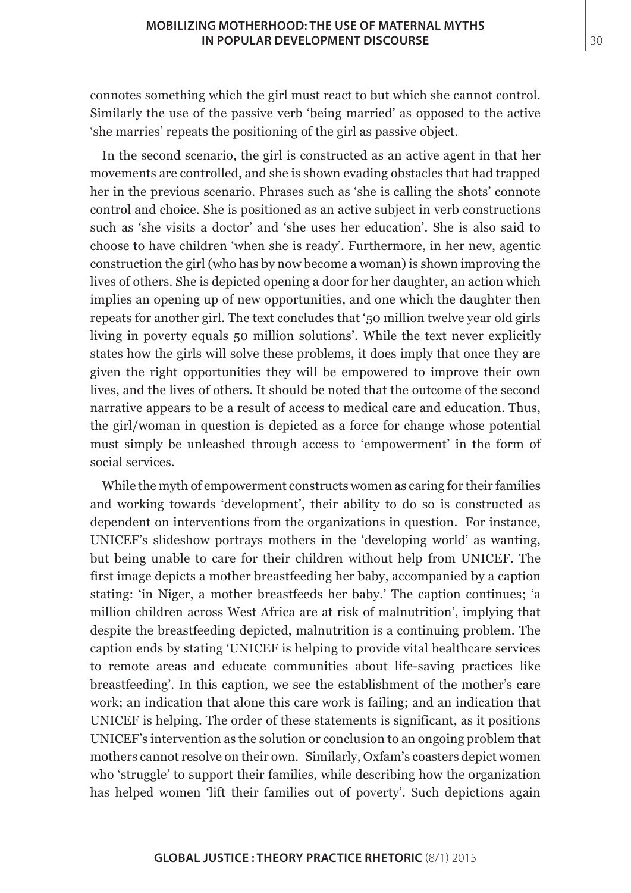connotes something which the girl must react to but which she cannot control. Similarly the use of the passive verb 'being married' as opposed to the active 'she marries' repeats the positioning of the girl as passive object.

In the second scenario, the girl is constructed as an active agent in that her movements are controlled, and she is shown evading obstacles that had trapped her in the previous scenario. Phrases such as 'she is calling the shots' connote control and choice. She is positioned as an active subject in verb constructions such as 'she visits a doctor' and 'she uses her education'. She is also said to choose to have children 'when she is ready'. Furthermore, in her new, agentic construction the girl (who has by now become a woman) is shown improving the lives of others. She is depicted opening a door for her daughter, an action which implies an opening up of new opportunities, and one which the daughter then repeats for another girl. The text concludes that '50 million twelve year old girls living in poverty equals 50 million solutions'. While the text never explicitly states how the girls will solve these problems, it does imply that once they are given the right opportunities they will be empowered to improve their own lives, and the lives of others. It should be noted that the outcome of the second narrative appears to be a result of access to medical care and education. Thus, the girl/woman in question is depicted as a force for change whose potential must simply be unleashed through access to 'empowerment' in the form of social services.

While the myth of empowerment constructs women as caring for their families and working towards 'development', their ability to do so is constructed as dependent on interventions from the organizations in question. For instance, UNICEF's slideshow portrays mothers in the 'developing world' as wanting, but being unable to care for their children without help from UNICEF. The first image depicts a mother breastfeeding her baby, accompanied by a caption stating: 'in Niger, a mother breastfeeds her baby.' The caption continues; 'a million children across West Africa are at risk of malnutrition', implying that despite the breastfeeding depicted, malnutrition is a continuing problem. The caption ends by stating 'UNICEF is helping to provide vital healthcare services to remote areas and educate communities about life-saving practices like breastfeeding'. In this caption, we see the establishment of the mother's care work; an indication that alone this care work is failing; and an indication that UNICEF is helping. The order of these statements is significant, as it positions UNICEF's intervention as the solution or conclusion to an ongoing problem that mothers cannot resolve on their own. Similarly, Oxfam's coasters depict women who 'struggle' to support their families, while describing how the organization has helped women 'lift their families out of poverty'. Such depictions again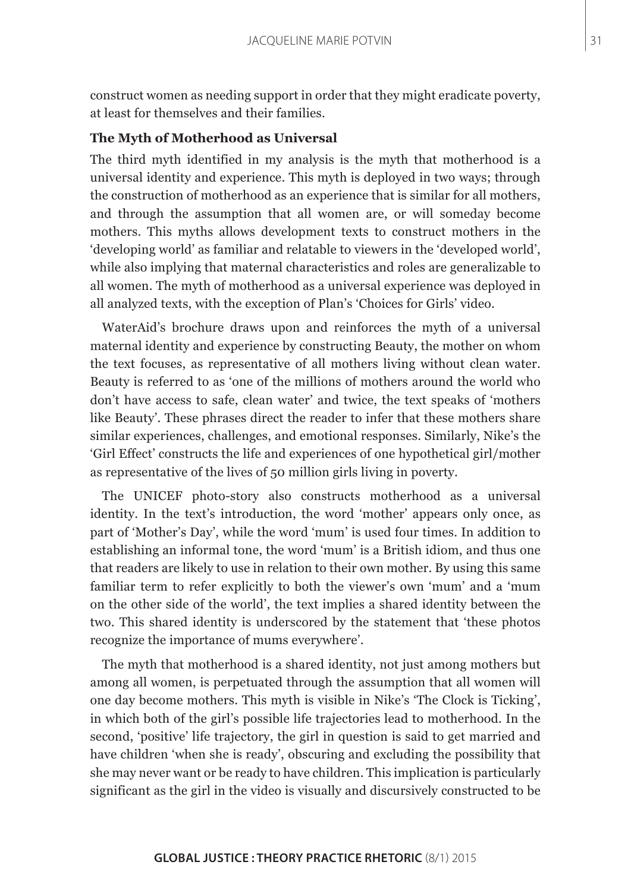construct women as needing support in order that they might eradicate poverty, at least for themselves and their families.

#### **The Myth of Motherhood as Universal**

The third myth identified in my analysis is the myth that motherhood is a universal identity and experience. This myth is deployed in two ways; through the construction of motherhood as an experience that is similar for all mothers, and through the assumption that all women are, or will someday become mothers. This myths allows development texts to construct mothers in the 'developing world' as familiar and relatable to viewers in the 'developed world', while also implying that maternal characteristics and roles are generalizable to all women. The myth of motherhood as a universal experience was deployed in all analyzed texts, with the exception of Plan's 'Choices for Girls' video.

WaterAid's brochure draws upon and reinforces the myth of a universal maternal identity and experience by constructing Beauty, the mother on whom the text focuses, as representative of all mothers living without clean water. Beauty is referred to as 'one of the millions of mothers around the world who don't have access to safe, clean water' and twice, the text speaks of 'mothers like Beauty'. These phrases direct the reader to infer that these mothers share similar experiences, challenges, and emotional responses. Similarly, Nike's the 'Girl Effect' constructs the life and experiences of one hypothetical girl/mother as representative of the lives of 50 million girls living in poverty.

The UNICEF photo-story also constructs motherhood as a universal identity. In the text's introduction, the word 'mother' appears only once, as part of 'Mother's Day', while the word 'mum' is used four times. In addition to establishing an informal tone, the word 'mum' is a British idiom, and thus one that readers are likely to use in relation to their own mother. By using this same familiar term to refer explicitly to both the viewer's own 'mum' and a 'mum on the other side of the world', the text implies a shared identity between the two. This shared identity is underscored by the statement that 'these photos recognize the importance of mums everywhere'.

The myth that motherhood is a shared identity, not just among mothers but among all women, is perpetuated through the assumption that all women will one day become mothers. This myth is visible in Nike's 'The Clock is Ticking', in which both of the girl's possible life trajectories lead to motherhood. In the second, 'positive' life trajectory, the girl in question is said to get married and have children 'when she is ready', obscuring and excluding the possibility that she may never want or be ready to have children. This implication is particularly significant as the girl in the video is visually and discursively constructed to be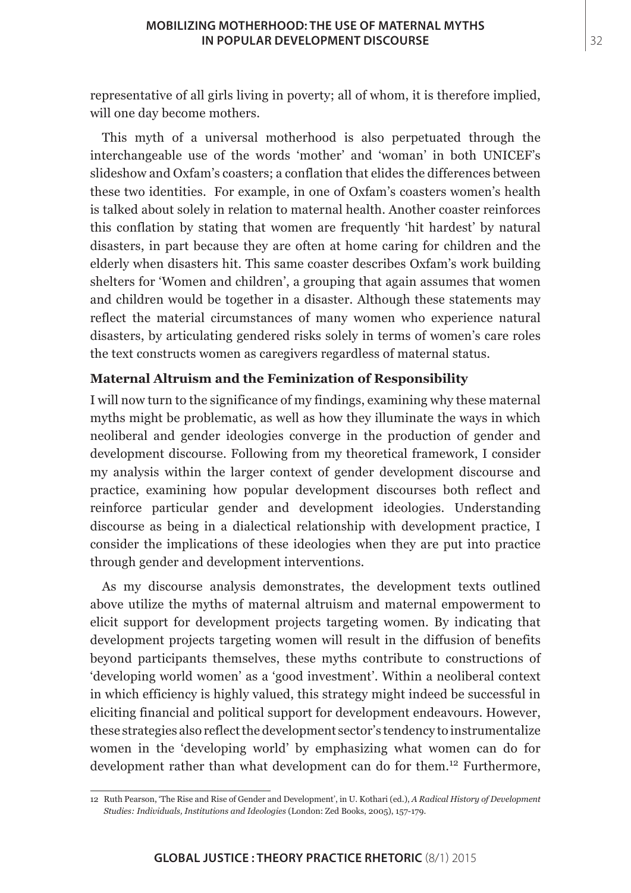representative of all girls living in poverty; all of whom, it is therefore implied, will one day become mothers.

This myth of a universal motherhood is also perpetuated through the interchangeable use of the words 'mother' and 'woman' in both UNICEF's slideshow and Oxfam's coasters; a conflation that elides the differences between these two identities. For example, in one of Oxfam's coasters women's health is talked about solely in relation to maternal health. Another coaster reinforces this conflation by stating that women are frequently 'hit hardest' by natural disasters, in part because they are often at home caring for children and the elderly when disasters hit. This same coaster describes Oxfam's work building shelters for 'Women and children', a grouping that again assumes that women and children would be together in a disaster. Although these statements may reflect the material circumstances of many women who experience natural disasters, by articulating gendered risks solely in terms of women's care roles the text constructs women as caregivers regardless of maternal status.

## **Maternal Altruism and the Feminization of Responsibility**

I will now turn to the significance of my findings, examining why these maternal myths might be problematic, as well as how they illuminate the ways in which neoliberal and gender ideologies converge in the production of gender and development discourse. Following from my theoretical framework, I consider my analysis within the larger context of gender development discourse and practice, examining how popular development discourses both reflect and reinforce particular gender and development ideologies. Understanding discourse as being in a dialectical relationship with development practice, I consider the implications of these ideologies when they are put into practice through gender and development interventions.

As my discourse analysis demonstrates, the development texts outlined above utilize the myths of maternal altruism and maternal empowerment to elicit support for development projects targeting women. By indicating that development projects targeting women will result in the diffusion of benefits beyond participants themselves, these myths contribute to constructions of 'developing world women' as a 'good investment'. Within a neoliberal context in which efficiency is highly valued, this strategy might indeed be successful in eliciting financial and political support for development endeavours. However, these strategies also reflect the development sector's tendency to instrumentalize women in the 'developing world' by emphasizing what women can do for development rather than what development can do for them.<sup>12</sup> Furthermore,

<sup>12</sup> Ruth Pearson, 'The Rise and Rise of Gender and Development', in U. Kothari (ed.), *A Radical History of Development Studies: Individuals, Institutions and Ideologies* (London: Zed Books, 2005), 157-179.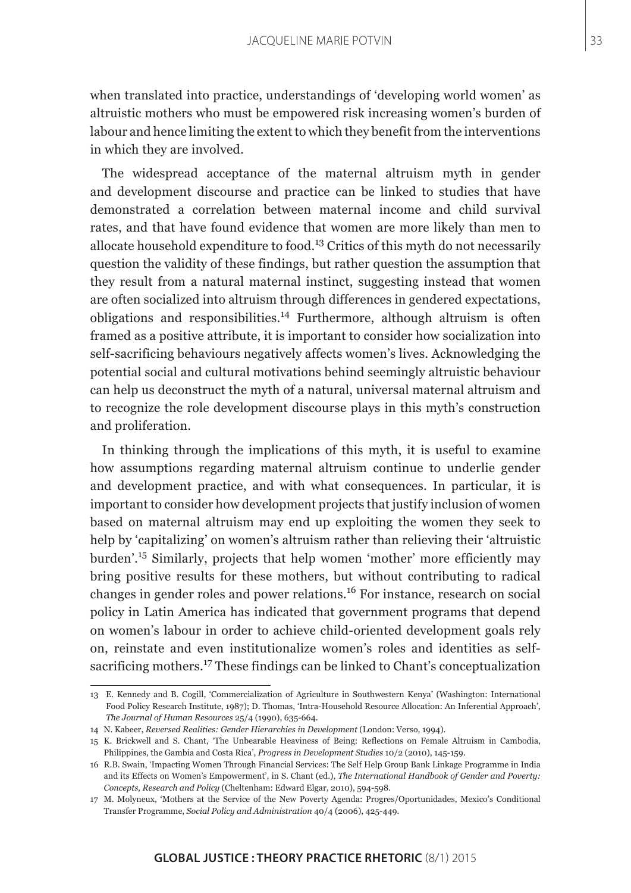when translated into practice, understandings of 'developing world women' as altruistic mothers who must be empowered risk increasing women's burden of labour and hence limiting the extent to which they benefit from the interventions in which they are involved.

The widespread acceptance of the maternal altruism myth in gender and development discourse and practice can be linked to studies that have demonstrated a correlation between maternal income and child survival rates, and that have found evidence that women are more likely than men to allocate household expenditure to food.13 Critics of this myth do not necessarily question the validity of these findings, but rather question the assumption that they result from a natural maternal instinct, suggesting instead that women are often socialized into altruism through differences in gendered expectations, obligations and responsibilities.<sup>14</sup> Furthermore, although altruism is often framed as a positive attribute, it is important to consider how socialization into self-sacrificing behaviours negatively affects women's lives. Acknowledging the potential social and cultural motivations behind seemingly altruistic behaviour can help us deconstruct the myth of a natural, universal maternal altruism and to recognize the role development discourse plays in this myth's construction and proliferation.

In thinking through the implications of this myth, it is useful to examine how assumptions regarding maternal altruism continue to underlie gender and development practice, and with what consequences. In particular, it is important to consider how development projects that justify inclusion of women based on maternal altruism may end up exploiting the women they seek to help by 'capitalizing' on women's altruism rather than relieving their 'altruistic burden'.15 Similarly, projects that help women 'mother' more efficiently may bring positive results for these mothers, but without contributing to radical changes in gender roles and power relations.16 For instance, research on social policy in Latin America has indicated that government programs that depend on women's labour in order to achieve child-oriented development goals rely on, reinstate and even institutionalize women's roles and identities as selfsacrificing mothers.17 These findings can be linked to Chant's conceptualization

<sup>13</sup> E. Kennedy and B. Cogill, 'Commercialization of Agriculture in Southwestern Kenya' (Washington: International Food Policy Research Institute, 1987); D. Thomas, 'Intra-Household Resource Allocation: An Inferential Approach', *The Journal of Human Resources* 25/4 (1990), 635-664.

<sup>14</sup> N. Kabeer, *Reversed Realities: Gender Hierarchies in Development* (London: Verso, 1994).

<sup>15</sup> K. Brickwell and S. Chant, 'The Unbearable Heaviness of Being: Reflections on Female Altruism in Cambodia, Philippines, the Gambia and Costa Rica', *Progress in Development Studies* 10/2 (2010), 145-159.

<sup>16</sup> R.B. Swain, 'Impacting Women Through Financial Services: The Self Help Group Bank Linkage Programme in India and its Effects on Women's Empowerment', in S. Chant (ed.), *The International Handbook of Gender and Poverty: Concepts, Research and Policy* (Cheltenham: Edward Elgar, 2010), 594-598.

<sup>17</sup> M. Molyneux, 'Mothers at the Service of the New Poverty Agenda: Progres/Oportunidades, Mexico's Conditional Transfer Programme, *Social Policy and Administration* 40/4 (2006), 425-449.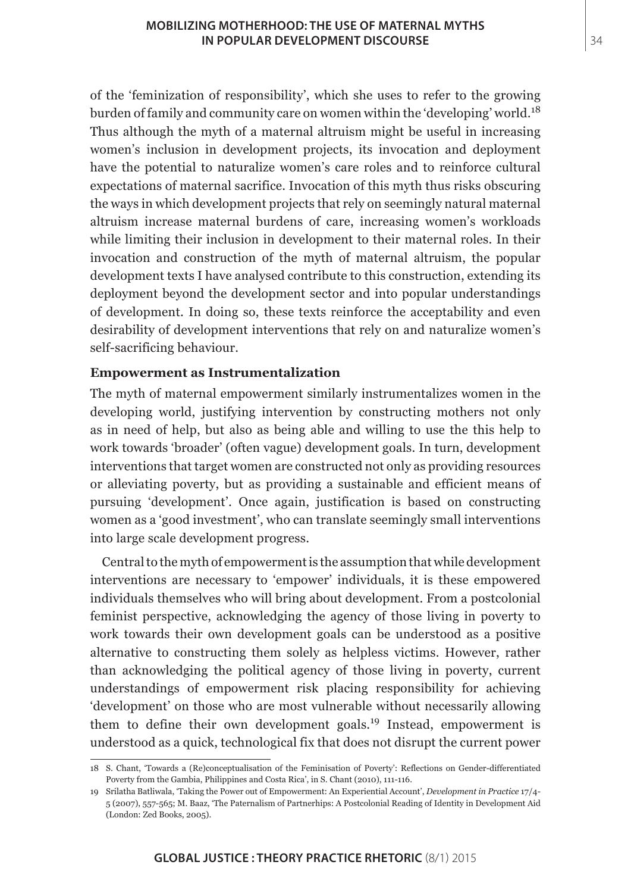of the 'feminization of responsibility', which she uses to refer to the growing burden of family and community care on women within the 'developing' world.<sup>18</sup> Thus although the myth of a maternal altruism might be useful in increasing women's inclusion in development projects, its invocation and deployment have the potential to naturalize women's care roles and to reinforce cultural expectations of maternal sacrifice. Invocation of this myth thus risks obscuring the ways in which development projects that rely on seemingly natural maternal altruism increase maternal burdens of care, increasing women's workloads while limiting their inclusion in development to their maternal roles. In their invocation and construction of the myth of maternal altruism, the popular development texts I have analysed contribute to this construction, extending its deployment beyond the development sector and into popular understandings of development. In doing so, these texts reinforce the acceptability and even desirability of development interventions that rely on and naturalize women's self-sacrificing behaviour.

## **Empowerment as Instrumentalization**

The myth of maternal empowerment similarly instrumentalizes women in the developing world, justifying intervention by constructing mothers not only as in need of help, but also as being able and willing to use the this help to work towards 'broader' (often vague) development goals. In turn, development interventions that target women are constructed not only as providing resources or alleviating poverty, but as providing a sustainable and efficient means of pursuing 'development'. Once again, justification is based on constructing women as a 'good investment', who can translate seemingly small interventions into large scale development progress.

Central to the myth of empowerment is the assumption that while development interventions are necessary to 'empower' individuals, it is these empowered individuals themselves who will bring about development. From a postcolonial feminist perspective, acknowledging the agency of those living in poverty to work towards their own development goals can be understood as a positive alternative to constructing them solely as helpless victims. However, rather than acknowledging the political agency of those living in poverty, current understandings of empowerment risk placing responsibility for achieving 'development' on those who are most vulnerable without necessarily allowing them to define their own development goals.<sup>19</sup> Instead, empowerment is understood as a quick, technological fix that does not disrupt the current power

<sup>18</sup> S. Chant, 'Towards a (Re)conceptualisation of the Feminisation of Poverty': Reflections on Gender-differentiated Poverty from the Gambia, Philippines and Costa Rica', in S. Chant (2010), 111-116.

<sup>19</sup> Srilatha Batliwala, 'Taking the Power out of Empowerment: An Experiential Account', *Development in Practice* 17/4- 5 (2007), 557-565; M. Baaz, 'The Paternalism of Partnerhips: A Postcolonial Reading of Identity in Development Aid (London: Zed Books, 2005).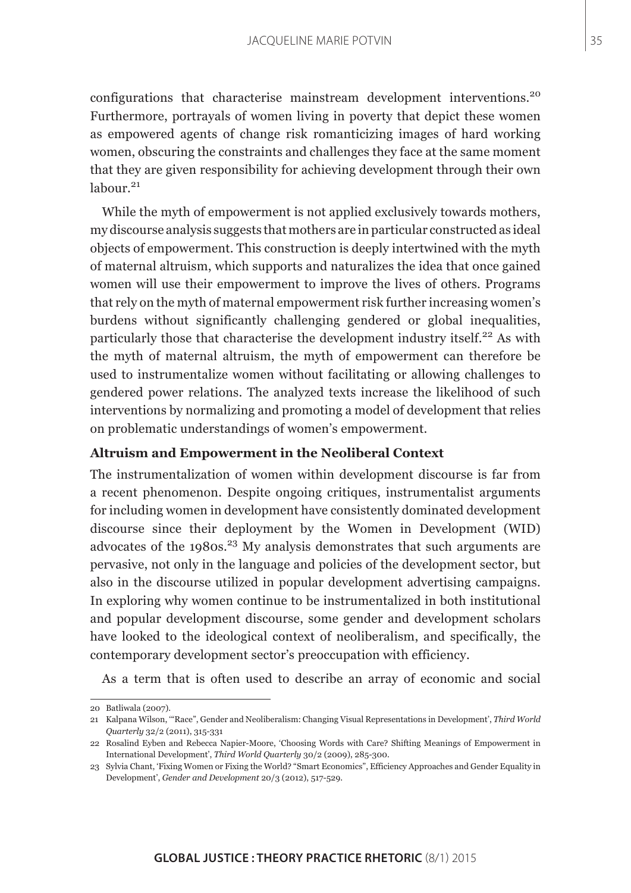configurations that characterise mainstream development interventions.<sup>20</sup> Furthermore, portrayals of women living in poverty that depict these women as empowered agents of change risk romanticizing images of hard working women, obscuring the constraints and challenges they face at the same moment that they are given responsibility for achieving development through their own  $labour<sup>21</sup>$ 

While the myth of empowerment is not applied exclusively towards mothers, my discourse analysis suggests that mothers are in particular constructed as ideal objects of empowerment. This construction is deeply intertwined with the myth of maternal altruism, which supports and naturalizes the idea that once gained women will use their empowerment to improve the lives of others. Programs that rely on the myth of maternal empowerment risk further increasing women's burdens without significantly challenging gendered or global inequalities, particularly those that characterise the development industry itself.<sup>22</sup> As with the myth of maternal altruism, the myth of empowerment can therefore be used to instrumentalize women without facilitating or allowing challenges to gendered power relations. The analyzed texts increase the likelihood of such interventions by normalizing and promoting a model of development that relies on problematic understandings of women's empowerment.

#### **Altruism and Empowerment in the Neoliberal Context**

The instrumentalization of women within development discourse is far from a recent phenomenon. Despite ongoing critiques, instrumentalist arguments for including women in development have consistently dominated development discourse since their deployment by the Women in Development (WID) advocates of the 1980s.<sup>23</sup> My analysis demonstrates that such arguments are pervasive, not only in the language and policies of the development sector, but also in the discourse utilized in popular development advertising campaigns. In exploring why women continue to be instrumentalized in both institutional and popular development discourse, some gender and development scholars have looked to the ideological context of neoliberalism, and specifically, the contemporary development sector's preoccupation with efficiency.

As a term that is often used to describe an array of economic and social

<sup>20</sup> Batliwala (2007).

<sup>21</sup> Kalpana Wilson, '"Race", Gender and Neoliberalism: Changing Visual Representations in Development', *Third World Quarterly* 32/2 (2011), 315-331

<sup>22</sup> Rosalind Eyben and Rebecca Napier-Moore, 'Choosing Words with Care? Shifting Meanings of Empowerment in International Development', *Third World Quarterly* 30/2 (2009), 285-300.

<sup>23</sup> Sylvia Chant, 'Fixing Women or Fixing the World? "Smart Economics", Efficiency Approaches and Gender Equality in Development', *Gender and Development* 20/3 (2012), 517-529.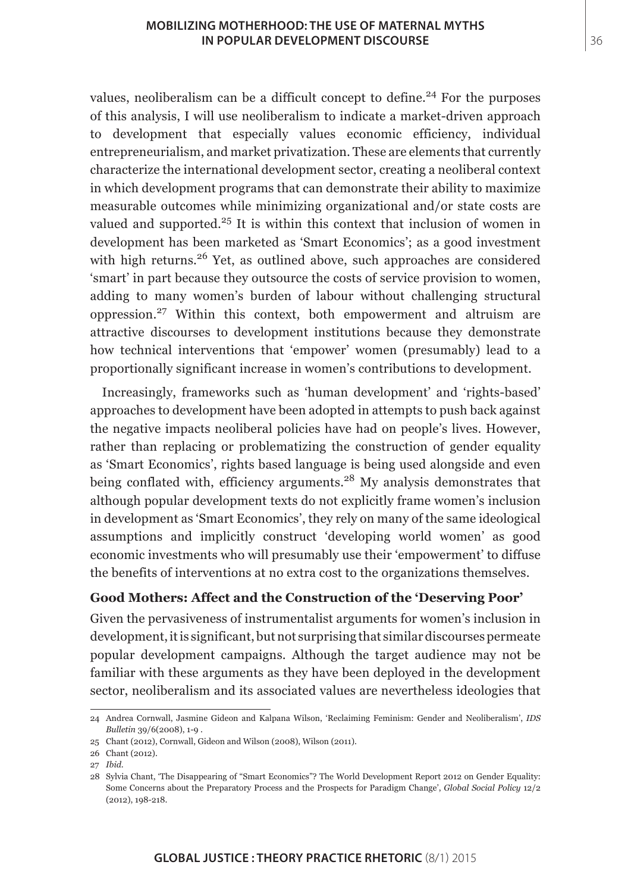values, neoliberalism can be a difficult concept to define.<sup>24</sup> For the purposes of this analysis, I will use neoliberalism to indicate a market-driven approach to development that especially values economic efficiency, individual entrepreneurialism, and market privatization. These are elements that currently characterize the international development sector, creating a neoliberal context in which development programs that can demonstrate their ability to maximize measurable outcomes while minimizing organizational and/or state costs are valued and supported. $25$  It is within this context that inclusion of women in development has been marketed as 'Smart Economics'; as a good investment with high returns.<sup>26</sup> Yet, as outlined above, such approaches are considered 'smart' in part because they outsource the costs of service provision to women, adding to many women's burden of labour without challenging structural oppression.27 Within this context, both empowerment and altruism are attractive discourses to development institutions because they demonstrate how technical interventions that 'empower' women (presumably) lead to a proportionally significant increase in women's contributions to development.

Increasingly, frameworks such as 'human development' and 'rights-based' approaches to development have been adopted in attempts to push back against the negative impacts neoliberal policies have had on people's lives. However, rather than replacing or problematizing the construction of gender equality as 'Smart Economics', rights based language is being used alongside and even being conflated with, efficiency arguments.<sup>28</sup> My analysis demonstrates that although popular development texts do not explicitly frame women's inclusion in development as 'Smart Economics', they rely on many of the same ideological assumptions and implicitly construct 'developing world women' as good economic investments who will presumably use their 'empowerment' to diffuse the benefits of interventions at no extra cost to the organizations themselves.

# **Good Mothers: Affect and the Construction of the 'Deserving Poor'**

Given the pervasiveness of instrumentalist arguments for women's inclusion in development, it is significant, but not surprising that similar discourses permeate popular development campaigns. Although the target audience may not be familiar with these arguments as they have been deployed in the development sector, neoliberalism and its associated values are nevertheless ideologies that

<sup>24</sup> Andrea Cornwall, Jasmine Gideon and Kalpana Wilson, 'Reclaiming Feminism: Gender and Neoliberalism', *IDS Bulletin* 39/6(2008), 1-9 .

<sup>25</sup> Chant (2012), Cornwall, Gideon and Wilson (2008), Wilson (2011).

<sup>26</sup> Chant (2012).

<sup>27</sup> *Ibid*.

<sup>28</sup> Sylvia Chant, 'The Disappearing of "Smart Economics"? The World Development Report 2012 on Gender Equality: Some Concerns about the Preparatory Process and the Prospects for Paradigm Change', *Global Social Policy* 12/2 (2012), 198-218.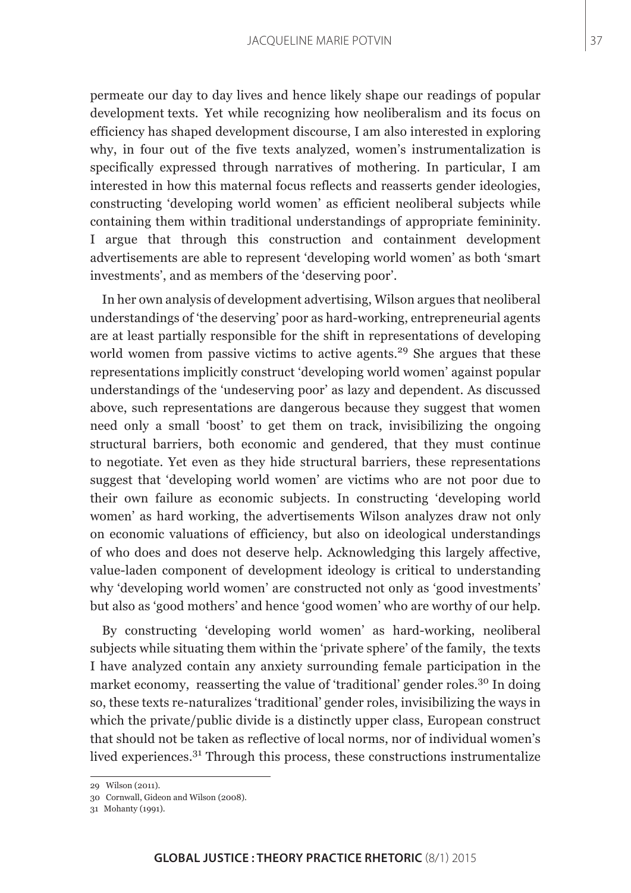permeate our day to day lives and hence likely shape our readings of popular development texts. Yet while recognizing how neoliberalism and its focus on efficiency has shaped development discourse, I am also interested in exploring why, in four out of the five texts analyzed, women's instrumentalization is specifically expressed through narratives of mothering. In particular, I am interested in how this maternal focus reflects and reasserts gender ideologies, constructing 'developing world women' as efficient neoliberal subjects while containing them within traditional understandings of appropriate femininity. I argue that through this construction and containment development advertisements are able to represent 'developing world women' as both 'smart investments', and as members of the 'deserving poor'.

In her own analysis of development advertising, Wilson argues that neoliberal understandings of 'the deserving' poor as hard-working, entrepreneurial agents are at least partially responsible for the shift in representations of developing world women from passive victims to active agents.<sup>29</sup> She argues that these representations implicitly construct 'developing world women' against popular understandings of the 'undeserving poor' as lazy and dependent. As discussed above, such representations are dangerous because they suggest that women need only a small 'boost' to get them on track, invisibilizing the ongoing structural barriers, both economic and gendered, that they must continue to negotiate. Yet even as they hide structural barriers, these representations suggest that 'developing world women' are victims who are not poor due to their own failure as economic subjects. In constructing 'developing world women' as hard working, the advertisements Wilson analyzes draw not only on economic valuations of efficiency, but also on ideological understandings of who does and does not deserve help. Acknowledging this largely affective, value-laden component of development ideology is critical to understanding why 'developing world women' are constructed not only as 'good investments' but also as 'good mothers' and hence 'good women' who are worthy of our help.

By constructing 'developing world women' as hard-working, neoliberal subjects while situating them within the 'private sphere' of the family, the texts I have analyzed contain any anxiety surrounding female participation in the market economy, reasserting the value of 'traditional' gender roles.<sup>30</sup> In doing so, these texts re-naturalizes 'traditional' gender roles, invisibilizing the ways in which the private/public divide is a distinctly upper class, European construct that should not be taken as reflective of local norms, nor of individual women's lived experiences.31 Through this process, these constructions instrumentalize

<sup>29</sup> Wilson (2011).

<sup>30</sup> Cornwall, Gideon and Wilson (2008).

<sup>31</sup> Mohanty (1991).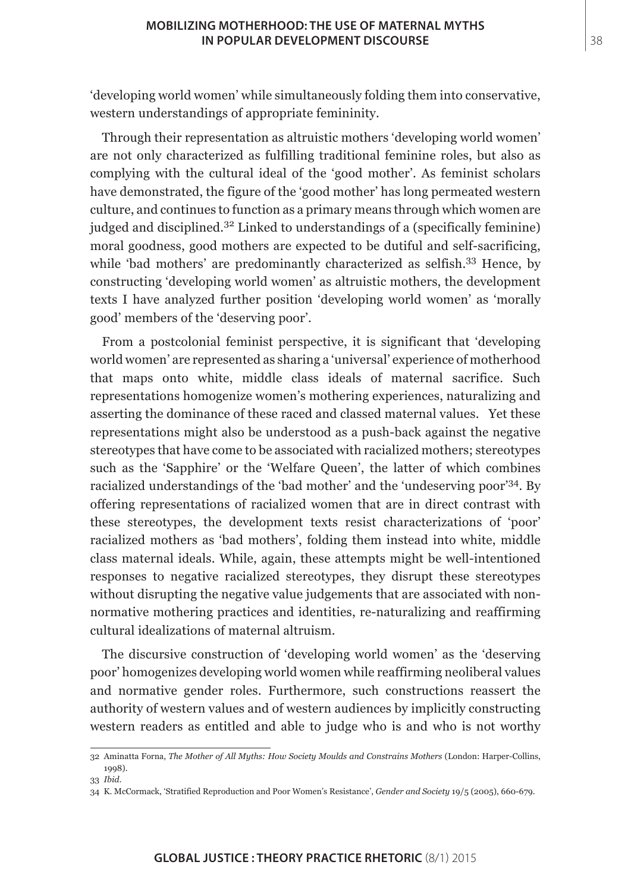#### **MOBILIZING MOTHERHOOD: THE USE OF MATERNAL MYTHS IN POPULAR DEVELOPMENT DISCOURSE**

'developing world women' while simultaneously folding them into conservative, western understandings of appropriate femininity.

Through their representation as altruistic mothers 'developing world women' are not only characterized as fulfilling traditional feminine roles, but also as complying with the cultural ideal of the 'good mother'. As feminist scholars have demonstrated, the figure of the 'good mother' has long permeated western culture, and continues to function as a primary means through which women are judged and disciplined.32 Linked to understandings of a (specifically feminine) moral goodness, good mothers are expected to be dutiful and self-sacrificing, while 'bad mothers' are predominantly characterized as selfish.<sup>33</sup> Hence, by constructing 'developing world women' as altruistic mothers, the development texts I have analyzed further position 'developing world women' as 'morally good' members of the 'deserving poor'.

From a postcolonial feminist perspective, it is significant that 'developing world women' are represented as sharing a 'universal' experience of motherhood that maps onto white, middle class ideals of maternal sacrifice. Such representations homogenize women's mothering experiences, naturalizing and asserting the dominance of these raced and classed maternal values. Yet these representations might also be understood as a push-back against the negative stereotypes that have come to be associated with racialized mothers; stereotypes such as the 'Sapphire' or the 'Welfare Queen', the latter of which combines racialized understandings of the 'bad mother' and the 'undeserving poor'34. By offering representations of racialized women that are in direct contrast with these stereotypes, the development texts resist characterizations of 'poor' racialized mothers as 'bad mothers', folding them instead into white, middle class maternal ideals. While, again, these attempts might be well-intentioned responses to negative racialized stereotypes, they disrupt these stereotypes without disrupting the negative value judgements that are associated with nonnormative mothering practices and identities, re-naturalizing and reaffirming cultural idealizations of maternal altruism.

The discursive construction of 'developing world women' as the 'deserving poor' homogenizes developing world women while reaffirming neoliberal values and normative gender roles. Furthermore, such constructions reassert the authority of western values and of western audiences by implicitly constructing western readers as entitled and able to judge who is and who is not worthy

<sup>32</sup> Aminatta Forna, *The Mother of All Myths: How Society Moulds and Constrains Mothers* (London: Harper-Collins, 1998).

<sup>33</sup> *Ibid*.

<sup>34</sup> K. McCormack, 'Stratified Reproduction and Poor Women's Resistance', *Gender and Society* 19/5 (2005), 660-679.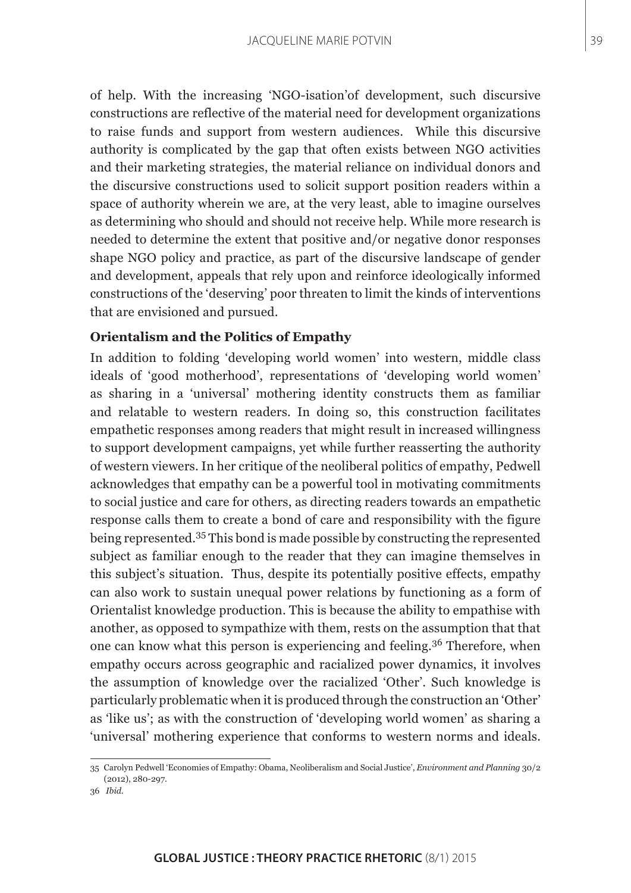of help. With the increasing 'NGO-isation'of development, such discursive constructions are reflective of the material need for development organizations to raise funds and support from western audiences. While this discursive authority is complicated by the gap that often exists between NGO activities and their marketing strategies, the material reliance on individual donors and the discursive constructions used to solicit support position readers within a space of authority wherein we are, at the very least, able to imagine ourselves as determining who should and should not receive help. While more research is needed to determine the extent that positive and/or negative donor responses shape NGO policy and practice, as part of the discursive landscape of gender and development, appeals that rely upon and reinforce ideologically informed constructions of the 'deserving' poor threaten to limit the kinds of interventions that are envisioned and pursued.

#### **Orientalism and the Politics of Empathy**

In addition to folding 'developing world women' into western, middle class ideals of 'good motherhood', representations of 'developing world women' as sharing in a 'universal' mothering identity constructs them as familiar and relatable to western readers. In doing so, this construction facilitates empathetic responses among readers that might result in increased willingness to support development campaigns, yet while further reasserting the authority of western viewers. In her critique of the neoliberal politics of empathy, Pedwell acknowledges that empathy can be a powerful tool in motivating commitments to social justice and care for others, as directing readers towards an empathetic response calls them to create a bond of care and responsibility with the figure being represented.35 This bond is made possible by constructing the represented subject as familiar enough to the reader that they can imagine themselves in this subject's situation. Thus, despite its potentially positive effects, empathy can also work to sustain unequal power relations by functioning as a form of Orientalist knowledge production. This is because the ability to empathise with another, as opposed to sympathize with them, rests on the assumption that that one can know what this person is experiencing and feeling.<sup>36</sup> Therefore, when empathy occurs across geographic and racialized power dynamics, it involves the assumption of knowledge over the racialized 'Other'. Such knowledge is particularly problematic when it is produced through the construction an 'Other' as 'like us'; as with the construction of 'developing world women' as sharing a 'universal' mothering experience that conforms to western norms and ideals.

39

<sup>35</sup> Carolyn Pedwell 'Economies of Empathy: Obama, Neoliberalism and Social Justice', *Environment and Planning* 30/2 (2012), 280-297.

<sup>36</sup> *Ibid*.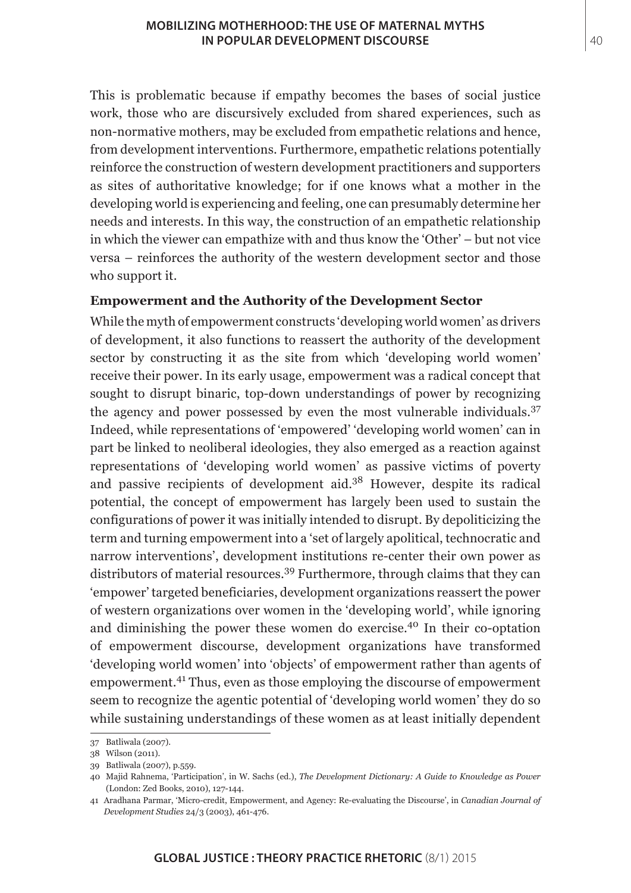This is problematic because if empathy becomes the bases of social justice work, those who are discursively excluded from shared experiences, such as non-normative mothers, may be excluded from empathetic relations and hence, from development interventions. Furthermore, empathetic relations potentially reinforce the construction of western development practitioners and supporters as sites of authoritative knowledge; for if one knows what a mother in the developing world is experiencing and feeling, one can presumably determine her needs and interests. In this way, the construction of an empathetic relationship in which the viewer can empathize with and thus know the 'Other' – but not vice versa – reinforces the authority of the western development sector and those who support it.

## **Empowerment and the Authority of the Development Sector**

While the myth of empowerment constructs 'developing world women' as drivers of development, it also functions to reassert the authority of the development sector by constructing it as the site from which 'developing world women' receive their power. In its early usage, empowerment was a radical concept that sought to disrupt binaric, top-down understandings of power by recognizing the agency and power possessed by even the most vulnerable individuals.<sup>37</sup> Indeed, while representations of 'empowered' 'developing world women' can in part be linked to neoliberal ideologies, they also emerged as a reaction against representations of 'developing world women' as passive victims of poverty and passive recipients of development aid.38 However, despite its radical potential, the concept of empowerment has largely been used to sustain the configurations of power it was initially intended to disrupt. By depoliticizing the term and turning empowerment into a 'set of largely apolitical, technocratic and narrow interventions', development institutions re-center their own power as distributors of material resources.39 Furthermore, through claims that they can 'empower' targeted beneficiaries, development organizations reassert the power of western organizations over women in the 'developing world', while ignoring and diminishing the power these women do exercise.40 In their co-optation of empowerment discourse, development organizations have transformed 'developing world women' into 'objects' of empowerment rather than agents of empowerment.41 Thus, even as those employing the discourse of empowerment seem to recognize the agentic potential of 'developing world women' they do so while sustaining understandings of these women as at least initially dependent

<sup>37</sup> Batliwala (2007).

<sup>38</sup> Wilson (2011).

<sup>39</sup> Batliwala (2007), p.559.

<sup>40</sup> Majid Rahnema, 'Participation', in W. Sachs (ed.), *The Development Dictionary: A Guide to Knowledge as Power*  (London: Zed Books, 2010), 127-144.

<sup>41</sup> Aradhana Parmar, 'Micro-credit, Empowerment, and Agency: Re-evaluating the Discourse', in *Canadian Journal of Development Studies* 24/3 (2003), 461-476.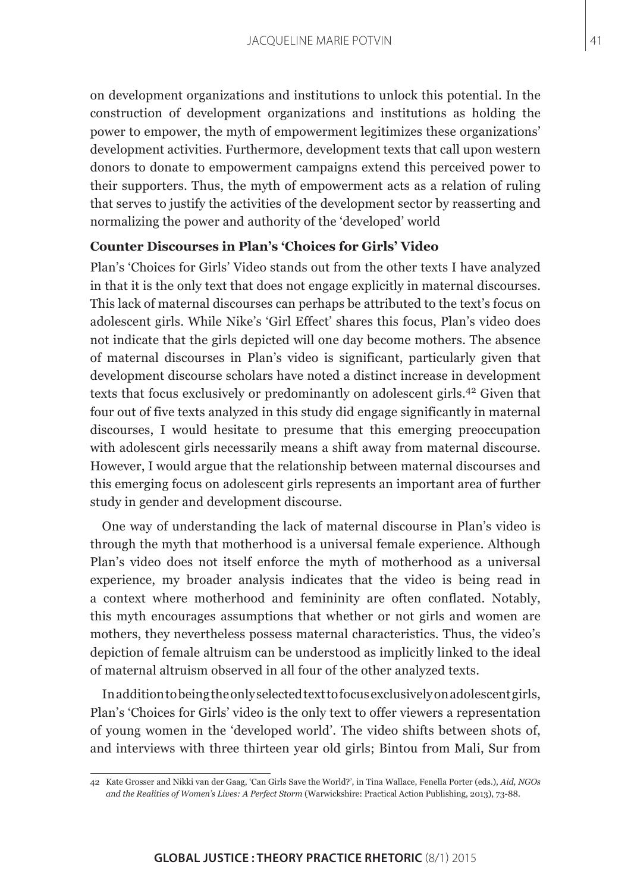on development organizations and institutions to unlock this potential. In the construction of development organizations and institutions as holding the power to empower, the myth of empowerment legitimizes these organizations' development activities. Furthermore, development texts that call upon western donors to donate to empowerment campaigns extend this perceived power to their supporters. Thus, the myth of empowerment acts as a relation of ruling that serves to justify the activities of the development sector by reasserting and normalizing the power and authority of the 'developed' world

### **Counter Discourses in Plan's 'Choices for Girls' Video**

Plan's 'Choices for Girls' Video stands out from the other texts I have analyzed in that it is the only text that does not engage explicitly in maternal discourses. This lack of maternal discourses can perhaps be attributed to the text's focus on adolescent girls. While Nike's 'Girl Effect' shares this focus, Plan's video does not indicate that the girls depicted will one day become mothers. The absence of maternal discourses in Plan's video is significant, particularly given that development discourse scholars have noted a distinct increase in development texts that focus exclusively or predominantly on adolescent girls.<sup>42</sup> Given that four out of five texts analyzed in this study did engage significantly in maternal discourses, I would hesitate to presume that this emerging preoccupation with adolescent girls necessarily means a shift away from maternal discourse. However, I would argue that the relationship between maternal discourses and this emerging focus on adolescent girls represents an important area of further study in gender and development discourse.

One way of understanding the lack of maternal discourse in Plan's video is through the myth that motherhood is a universal female experience. Although Plan's video does not itself enforce the myth of motherhood as a universal experience, my broader analysis indicates that the video is being read in a context where motherhood and femininity are often conflated. Notably, this myth encourages assumptions that whether or not girls and women are mothers, they nevertheless possess maternal characteristics. Thus, the video's depiction of female altruism can be understood as implicitly linked to the ideal of maternal altruism observed in all four of the other analyzed texts.

In addition to being the only selected text to focus exclusively on adolescent girls, Plan's 'Choices for Girls' video is the only text to offer viewers a representation of young women in the 'developed world'. The video shifts between shots of, and interviews with three thirteen year old girls; Bintou from Mali, Sur from

<sup>42</sup> Kate Grosser and Nikki van der Gaag, 'Can Girls Save the World?', in Tina Wallace, Fenella Porter (eds.), *Aid, NGOs and the Realities of Women's Lives: A Perfect Storm* (Warwickshire: Practical Action Publishing, 2013), 73-88.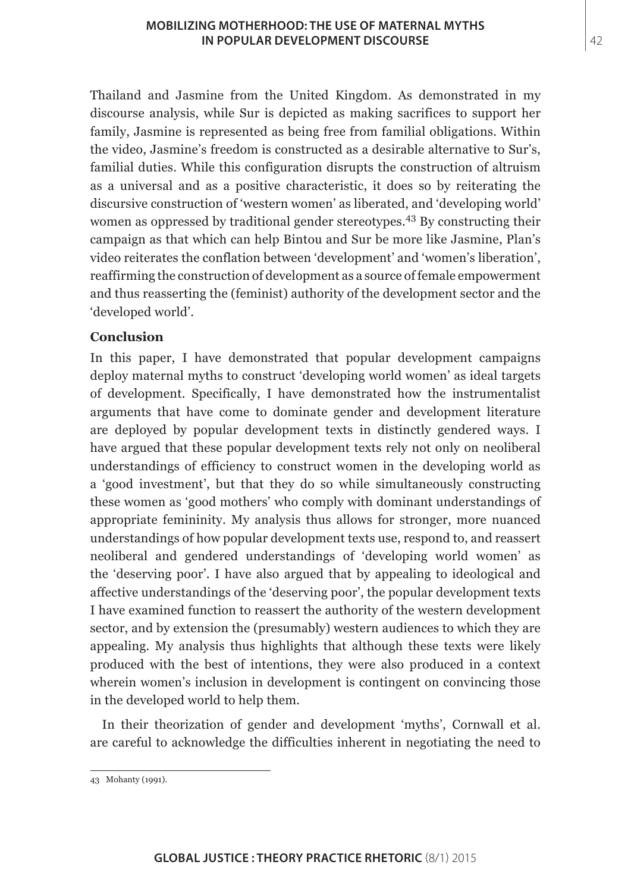Thailand and Jasmine from the United Kingdom. As demonstrated in my discourse analysis, while Sur is depicted as making sacrifices to support her family, Jasmine is represented as being free from familial obligations. Within the video, Jasmine's freedom is constructed as a desirable alternative to Sur's, familial duties. While this configuration disrupts the construction of altruism as a universal and as a positive characteristic, it does so by reiterating the discursive construction of 'western women' as liberated, and 'developing world' women as oppressed by traditional gender stereotypes.<sup>43</sup> By constructing their campaign as that which can help Bintou and Sur be more like Jasmine, Plan's video reiterates the conflation between 'development' and 'women's liberation', reaffirming the construction of development as a source of female empowerment and thus reasserting the (feminist) authority of the development sector and the 'developed world'.

# **Conclusion**

In this paper, I have demonstrated that popular development campaigns deploy maternal myths to construct 'developing world women' as ideal targets of development. Specifically, I have demonstrated how the instrumentalist arguments that have come to dominate gender and development literature are deployed by popular development texts in distinctly gendered ways. I have argued that these popular development texts rely not only on neoliberal understandings of efficiency to construct women in the developing world as a 'good investment', but that they do so while simultaneously constructing these women as 'good mothers' who comply with dominant understandings of appropriate femininity. My analysis thus allows for stronger, more nuanced understandings of how popular development texts use, respond to, and reassert neoliberal and gendered understandings of 'developing world women' as the 'deserving poor'. I have also argued that by appealing to ideological and affective understandings of the 'deserving poor', the popular development texts I have examined function to reassert the authority of the western development sector, and by extension the (presumably) western audiences to which they are appealing. My analysis thus highlights that although these texts were likely produced with the best of intentions, they were also produced in a context wherein women's inclusion in development is contingent on convincing those in the developed world to help them.

In their theorization of gender and development 'myths', Cornwall et al. are careful to acknowledge the difficulties inherent in negotiating the need to

<sup>43</sup> Mohanty (1991).